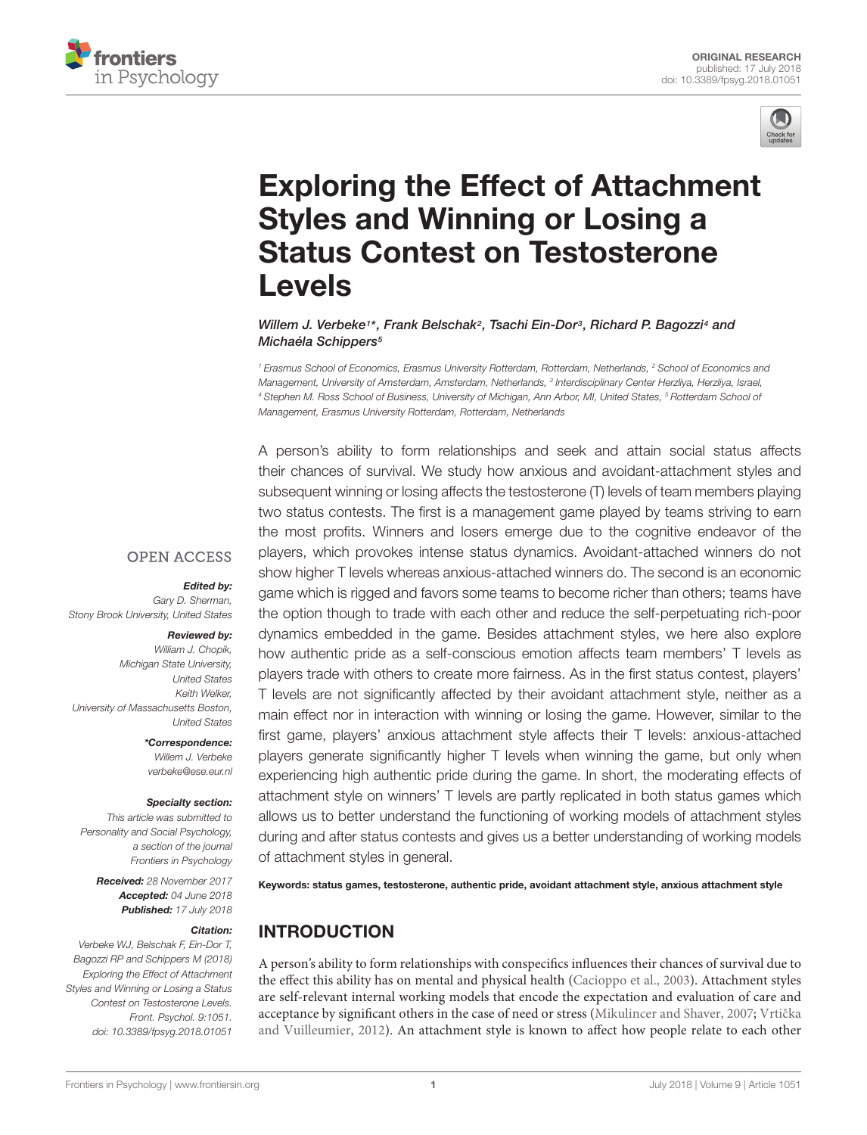



# [Exploring the Effect of Attachment](https://www.frontiersin.org/articles/10.3389/fpsyg.2018.01051/full) Styles and Winning or Losing a Status Contest on Testosterone Levels

[Willem J. Verbeke](http://loop.frontiersin.org/people/100946/overview)1\*, [Frank Belschak](http://loop.frontiersin.org/people/130370/overview)<sup>2</sup>, [Tsachi Ein-Dor](http://loop.frontiersin.org/people/142843/overview)<sup>3</sup>, [Richard P. Bagozzi](http://loop.frontiersin.org/people/121377/overview)<sup>4</sup> and Michaéla Schippers<sup>5</sup>

<sup>1</sup> Erasmus School of Economics, Erasmus University Rotterdam, Rotterdam, Netherlands, <sup>2</sup> School of Economics and Management, University of Amsterdam, Amsterdam, Netherlands, <sup>3</sup> Interdisciplinary Center Herzliya, Herzliya, Israel, <sup>4</sup> Stephen M. Ross School of Business, University of Michigan, Ann Arbor, MI, United States, <sup>5</sup> Rotterdam School of Management, Erasmus University Rotterdam, Rotterdam, Netherlands

A person's ability to form relationships and seek and attain social status affects their chances of survival. We study how anxious and avoidant-attachment styles and subsequent winning or losing affects the testosterone (T) levels of team members playing two status contests. The first is a management game played by teams striving to earn the most profits. Winners and losers emerge due to the cognitive endeavor of the players, which provokes intense status dynamics. Avoidant-attached winners do not show higher T levels whereas anxious-attached winners do. The second is an economic game which is rigged and favors some teams to become richer than others; teams have the option though to trade with each other and reduce the self-perpetuating rich-poor dynamics embedded in the game. Besides attachment styles, we here also explore how authentic pride as a self-conscious emotion affects team members' T levels as players trade with others to create more fairness. As in the first status contest, players' T levels are not significantly affected by their avoidant attachment style, neither as a main effect nor in interaction with winning or losing the game. However, similar to the first game, players' anxious attachment style affects their T levels: anxious-attached players generate significantly higher T levels when winning the game, but only when experiencing high authentic pride during the game. In short, the moderating effects of attachment style on winners' T levels are partly replicated in both status games which allows us to better understand the functioning of working models of attachment styles during and after status contests and gives us a better understanding of working models of attachment styles in general.

Keywords: status games, testosterone, authentic pride, avoidant attachment style, anxious attachment style

### INTRODUCTION

A person's ability to form relationships with conspecifics influences their chances of survival due to the effect this ability has on mental and physical health [\(Cacioppo et al.,](#page-12-0) [2003\)](#page-12-0). Attachment styles are self-relevant internal working models that encode the expectation and evaluation of care and acceptance by significant others in the case of need or stress [\(Mikulincer and Shaver,](#page-12-1) [2007;](#page-12-1) Vrtička [and Vuilleumier,](#page-12-2) [2012\)](#page-12-2). An attachment style is known to affect how people relate to each other

#### **OPEN ACCESS**

#### Edited by:

Gary D. Sherman, Stony Brook University, United States

#### Reviewed by:

William J. Chopik, Michigan State University, United States Keith Welker, University of Massachusetts Boston, United States

> \*Correspondence: Willem J. Verbeke verbeke@ese.eur.nl

#### Specialty section:

This article was submitted to Personality and Social Psychology, a section of the journal Frontiers in Psychology

> Received: 28 November 2017 Accepted: 04 June 2018 Published: 17 July 2018

#### Citation:

Verbeke WJ, Belschak F, Ein-Dor T, Bagozzi RP and Schippers M (2018) Exploring the Effect of Attachment Styles and Winning or Losing a Status Contest on Testosterone Levels. Front. Psychol. 9:1051. doi: [10.3389/fpsyg.2018.01051](https://doi.org/10.3389/fpsyg.2018.01051)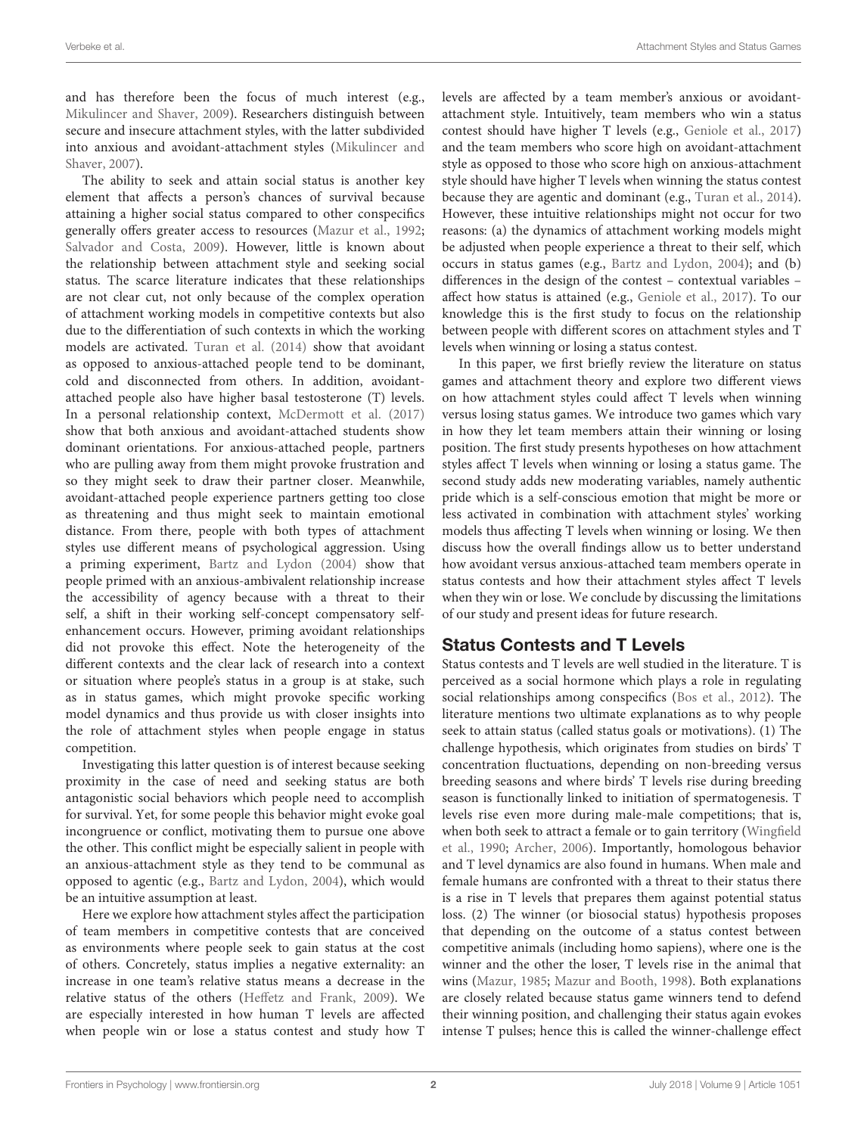and has therefore been the focus of much interest (e.g., [Mikulincer and Shaver,](#page-12-3) [2009\)](#page-12-3). Researchers distinguish between secure and insecure attachment styles, with the latter subdivided into anxious and avoidant-attachment styles [\(Mikulincer and](#page-12-1) [Shaver,](#page-12-1) [2007\)](#page-12-1).

The ability to seek and attain social status is another key element that affects a person's chances of survival because attaining a higher social status compared to other conspecifics generally offers greater access to resources [\(Mazur et al.,](#page-12-4) [1992;](#page-12-4) [Salvador and Costa,](#page-12-5) [2009\)](#page-12-5). However, little is known about the relationship between attachment style and seeking social status. The scarce literature indicates that these relationships are not clear cut, not only because of the complex operation of attachment working models in competitive contexts but also due to the differentiation of such contexts in which the working models are activated. [Turan et al.](#page-12-6) [\(2014\)](#page-12-6) show that avoidant as opposed to anxious-attached people tend to be dominant, cold and disconnected from others. In addition, avoidantattached people also have higher basal testosterone (T) levels. In a personal relationship context, [McDermott et al.](#page-12-7) [\(2017\)](#page-12-7) show that both anxious and avoidant-attached students show dominant orientations. For anxious-attached people, partners who are pulling away from them might provoke frustration and so they might seek to draw their partner closer. Meanwhile, avoidant-attached people experience partners getting too close as threatening and thus might seek to maintain emotional distance. From there, people with both types of attachment styles use different means of psychological aggression. Using a priming experiment, [Bartz and Lydon](#page-11-0) [\(2004\)](#page-11-0) show that people primed with an anxious-ambivalent relationship increase the accessibility of agency because with a threat to their self, a shift in their working self-concept compensatory selfenhancement occurs. However, priming avoidant relationships did not provoke this effect. Note the heterogeneity of the different contexts and the clear lack of research into a context or situation where people's status in a group is at stake, such as in status games, which might provoke specific working model dynamics and thus provide us with closer insights into the role of attachment styles when people engage in status competition.

Investigating this latter question is of interest because seeking proximity in the case of need and seeking status are both antagonistic social behaviors which people need to accomplish for survival. Yet, for some people this behavior might evoke goal incongruence or conflict, motivating them to pursue one above the other. This conflict might be especially salient in people with an anxious-attachment style as they tend to be communal as opposed to agentic (e.g., [Bartz and Lydon,](#page-11-0) [2004\)](#page-11-0), which would be an intuitive assumption at least.

Here we explore how attachment styles affect the participation of team members in competitive contests that are conceived as environments where people seek to gain status at the cost of others. Concretely, status implies a negative externality: an increase in one team's relative status means a decrease in the relative status of the others [\(Heffetz and Frank,](#page-12-8) [2009\)](#page-12-8). We are especially interested in how human T levels are affected when people win or lose a status contest and study how T

levels are affected by a team member's anxious or avoidantattachment style. Intuitively, team members who win a status contest should have higher T levels (e.g., [Geniole et al.,](#page-12-9) [2017\)](#page-12-9) and the team members who score high on avoidant-attachment style as opposed to those who score high on anxious-attachment style should have higher T levels when winning the status contest because they are agentic and dominant (e.g., [Turan et al.,](#page-12-6) [2014\)](#page-12-6). However, these intuitive relationships might not occur for two reasons: (a) the dynamics of attachment working models might be adjusted when people experience a threat to their self, which occurs in status games (e.g., [Bartz and Lydon,](#page-11-0) [2004\)](#page-11-0); and (b) differences in the design of the contest – contextual variables – affect how status is attained (e.g., [Geniole et al.,](#page-12-9) [2017\)](#page-12-9). To our knowledge this is the first study to focus on the relationship between people with different scores on attachment styles and T levels when winning or losing a status contest.

In this paper, we first briefly review the literature on status games and attachment theory and explore two different views on how attachment styles could affect T levels when winning versus losing status games. We introduce two games which vary in how they let team members attain their winning or losing position. The first study presents hypotheses on how attachment styles affect T levels when winning or losing a status game. The second study adds new moderating variables, namely authentic pride which is a self-conscious emotion that might be more or less activated in combination with attachment styles' working models thus affecting T levels when winning or losing. We then discuss how the overall findings allow us to better understand how avoidant versus anxious-attached team members operate in status contests and how their attachment styles affect T levels when they win or lose. We conclude by discussing the limitations of our study and present ideas for future research.

## Status Contests and T Levels

Status contests and T levels are well studied in the literature. T is perceived as a social hormone which plays a role in regulating social relationships among conspecifics [\(Bos et al.,](#page-11-1) [2012\)](#page-11-1). The literature mentions two ultimate explanations as to why people seek to attain status (called status goals or motivations). (1) The challenge hypothesis, which originates from studies on birds' T concentration fluctuations, depending on non-breeding versus breeding seasons and where birds' T levels rise during breeding season is functionally linked to initiation of spermatogenesis. T levels rise even more during male-male competitions; that is, when both seek to attract a female or to gain territory [\(Wingfield](#page-12-10) [et al.,](#page-12-10) [1990;](#page-12-10) [Archer,](#page-11-2) [2006\)](#page-11-2). Importantly, homologous behavior and T level dynamics are also found in humans. When male and female humans are confronted with a threat to their status there is a rise in T levels that prepares them against potential status loss. (2) The winner (or biosocial status) hypothesis proposes that depending on the outcome of a status contest between competitive animals (including homo sapiens), where one is the winner and the other the loser, T levels rise in the animal that wins [\(Mazur,](#page-12-11) [1985;](#page-12-11) [Mazur and Booth,](#page-12-12) [1998\)](#page-12-12). Both explanations are closely related because status game winners tend to defend their winning position, and challenging their status again evokes intense T pulses; hence this is called the winner-challenge effect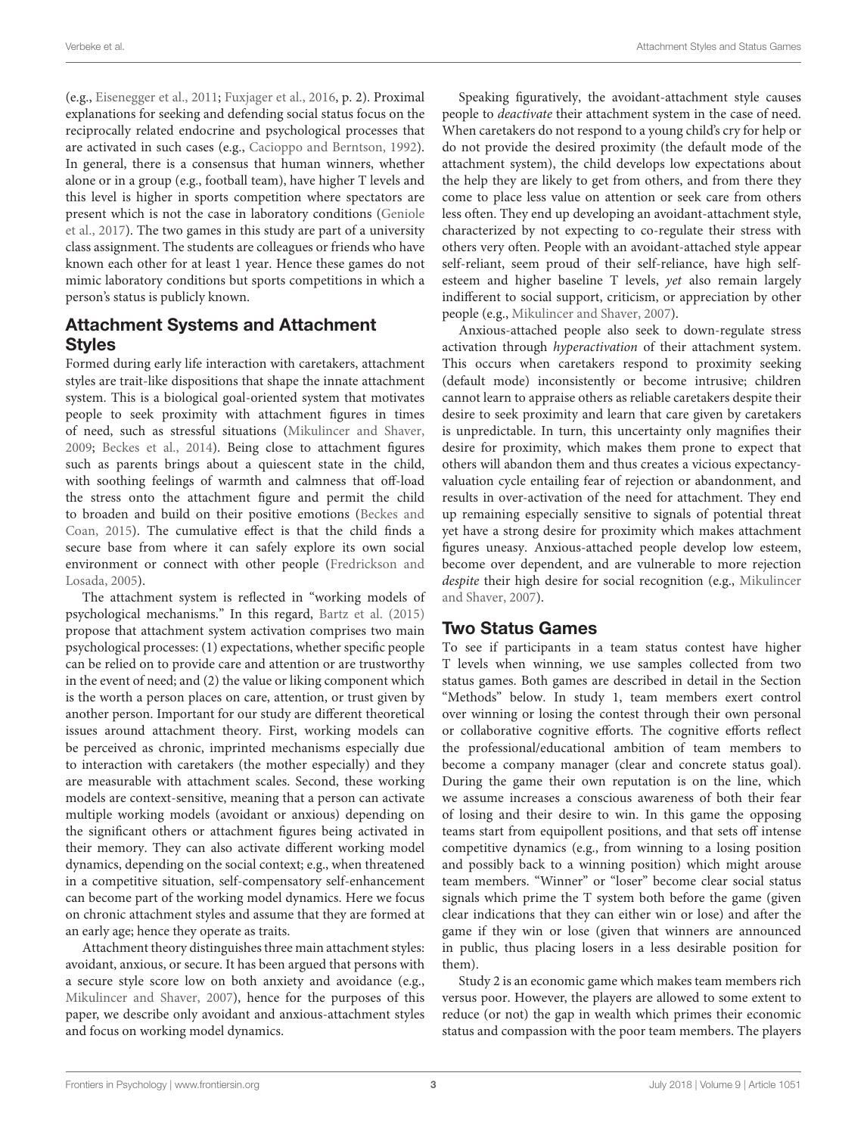(e.g., [Eisenegger et al.,](#page-12-13) [2011;](#page-12-13) [Fuxjager et al.,](#page-12-14) [2016,](#page-12-14) p. 2). Proximal explanations for seeking and defending social status focus on the reciprocally related endocrine and psychological processes that are activated in such cases (e.g., [Cacioppo and Berntson,](#page-12-15) [1992\)](#page-12-15). In general, there is a consensus that human winners, whether alone or in a group (e.g., football team), have higher T levels and this level is higher in sports competition where spectators are present which is not the case in laboratory conditions [\(Geniole](#page-12-9) [et al.,](#page-12-9) [2017\)](#page-12-9). The two games in this study are part of a university class assignment. The students are colleagues or friends who have known each other for at least 1 year. Hence these games do not mimic laboratory conditions but sports competitions in which a person's status is publicly known.

### Attachment Systems and Attachment Styles

Formed during early life interaction with caretakers, attachment styles are trait-like dispositions that shape the innate attachment system. This is a biological goal-oriented system that motivates people to seek proximity with attachment figures in times of need, such as stressful situations [\(Mikulincer and Shaver,](#page-12-3) [2009;](#page-12-3) [Beckes et al.,](#page-11-3) [2014\)](#page-11-3). Being close to attachment figures such as parents brings about a quiescent state in the child, with soothing feelings of warmth and calmness that off-load the stress onto the attachment figure and permit the child to broaden and build on their positive emotions [\(Beckes and](#page-11-4) [Coan,](#page-11-4) [2015\)](#page-11-4). The cumulative effect is that the child finds a secure base from where it can safely explore its own social environment or connect with other people [\(Fredrickson and](#page-12-16) [Losada,](#page-12-16) [2005\)](#page-12-16).

The attachment system is reflected in "working models of psychological mechanisms." In this regard, [Bartz et al.](#page-11-5) [\(2015\)](#page-11-5) propose that attachment system activation comprises two main psychological processes: (1) expectations, whether specific people can be relied on to provide care and attention or are trustworthy in the event of need; and (2) the value or liking component which is the worth a person places on care, attention, or trust given by another person. Important for our study are different theoretical issues around attachment theory. First, working models can be perceived as chronic, imprinted mechanisms especially due to interaction with caretakers (the mother especially) and they are measurable with attachment scales. Second, these working models are context-sensitive, meaning that a person can activate multiple working models (avoidant or anxious) depending on the significant others or attachment figures being activated in their memory. They can also activate different working model dynamics, depending on the social context; e.g., when threatened in a competitive situation, self-compensatory self-enhancement can become part of the working model dynamics. Here we focus on chronic attachment styles and assume that they are formed at an early age; hence they operate as traits.

Attachment theory distinguishes three main attachment styles: avoidant, anxious, or secure. It has been argued that persons with a secure style score low on both anxiety and avoidance (e.g., [Mikulincer and Shaver,](#page-12-1) [2007\)](#page-12-1), hence for the purposes of this paper, we describe only avoidant and anxious-attachment styles and focus on working model dynamics.

Speaking figuratively, the avoidant-attachment style causes people to deactivate their attachment system in the case of need. When caretakers do not respond to a young child's cry for help or do not provide the desired proximity (the default mode of the attachment system), the child develops low expectations about the help they are likely to get from others, and from there they come to place less value on attention or seek care from others less often. They end up developing an avoidant-attachment style, characterized by not expecting to co-regulate their stress with others very often. People with an avoidant-attached style appear self-reliant, seem proud of their self-reliance, have high selfesteem and higher baseline T levels, yet also remain largely indifferent to social support, criticism, or appreciation by other people (e.g., [Mikulincer and Shaver,](#page-12-1) [2007\)](#page-12-1).

Anxious-attached people also seek to down-regulate stress activation through hyperactivation of their attachment system. This occurs when caretakers respond to proximity seeking (default mode) inconsistently or become intrusive; children cannot learn to appraise others as reliable caretakers despite their desire to seek proximity and learn that care given by caretakers is unpredictable. In turn, this uncertainty only magnifies their desire for proximity, which makes them prone to expect that others will abandon them and thus creates a vicious expectancyvaluation cycle entailing fear of rejection or abandonment, and results in over-activation of the need for attachment. They end up remaining especially sensitive to signals of potential threat yet have a strong desire for proximity which makes attachment figures uneasy. Anxious-attached people develop low esteem, become over dependent, and are vulnerable to more rejection despite their high desire for social recognition (e.g., [Mikulincer](#page-12-1) [and Shaver,](#page-12-1) [2007\)](#page-12-1).

### Two Status Games

To see if participants in a team status contest have higher T levels when winning, we use samples collected from two status games. Both games are described in detail in the Section "Methods" below. In study 1, team members exert control over winning or losing the contest through their own personal or collaborative cognitive efforts. The cognitive efforts reflect the professional/educational ambition of team members to become a company manager (clear and concrete status goal). During the game their own reputation is on the line, which we assume increases a conscious awareness of both their fear of losing and their desire to win. In this game the opposing teams start from equipollent positions, and that sets off intense competitive dynamics (e.g., from winning to a losing position and possibly back to a winning position) which might arouse team members. "Winner" or "loser" become clear social status signals which prime the T system both before the game (given clear indications that they can either win or lose) and after the game if they win or lose (given that winners are announced in public, thus placing losers in a less desirable position for them).

Study 2 is an economic game which makes team members rich versus poor. However, the players are allowed to some extent to reduce (or not) the gap in wealth which primes their economic status and compassion with the poor team members. The players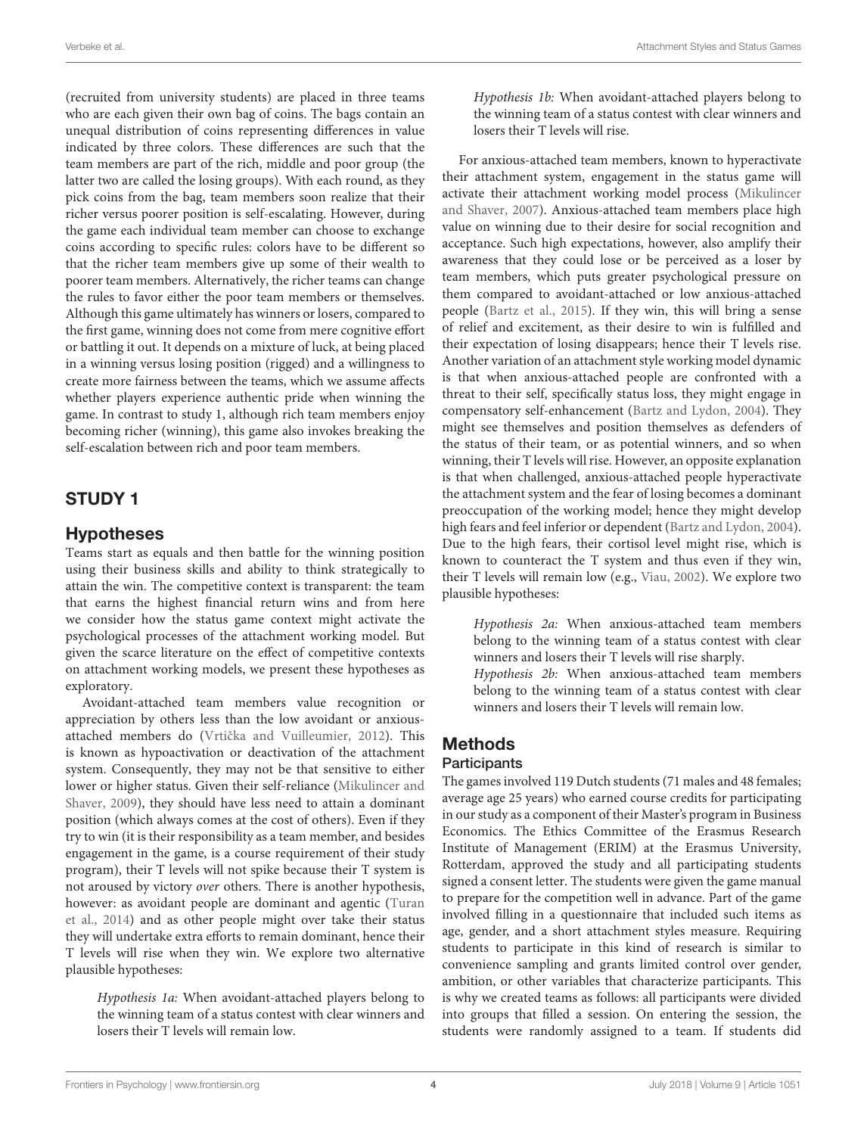(recruited from university students) are placed in three teams who are each given their own bag of coins. The bags contain an unequal distribution of coins representing differences in value indicated by three colors. These differences are such that the team members are part of the rich, middle and poor group (the latter two are called the losing groups). With each round, as they pick coins from the bag, team members soon realize that their richer versus poorer position is self-escalating. However, during the game each individual team member can choose to exchange coins according to specific rules: colors have to be different so that the richer team members give up some of their wealth to poorer team members. Alternatively, the richer teams can change the rules to favor either the poor team members or themselves. Although this game ultimately has winners or losers, compared to the first game, winning does not come from mere cognitive effort or battling it out. It depends on a mixture of luck, at being placed in a winning versus losing position (rigged) and a willingness to create more fairness between the teams, which we assume affects whether players experience authentic pride when winning the game. In contrast to study 1, although rich team members enjoy becoming richer (winning), this game also invokes breaking the self-escalation between rich and poor team members.

# STUDY 1

### Hypotheses

Teams start as equals and then battle for the winning position using their business skills and ability to think strategically to attain the win. The competitive context is transparent: the team that earns the highest financial return wins and from here we consider how the status game context might activate the psychological processes of the attachment working model. But given the scarce literature on the effect of competitive contexts on attachment working models, we present these hypotheses as exploratory.

Avoidant-attached team members value recognition or appreciation by others less than the low avoidant or anxious-attached members do (Vrtička and Vuilleumier, [2012\)](#page-12-2). This is known as hypoactivation or deactivation of the attachment system. Consequently, they may not be that sensitive to either lower or higher status. Given their self-reliance [\(Mikulincer and](#page-12-3) [Shaver,](#page-12-3) [2009\)](#page-12-3), they should have less need to attain a dominant position (which always comes at the cost of others). Even if they try to win (it is their responsibility as a team member, and besides engagement in the game, is a course requirement of their study program), their T levels will not spike because their T system is not aroused by victory over others. There is another hypothesis, however: as avoidant people are dominant and agentic [\(Turan](#page-12-6) [et al.,](#page-12-6) [2014\)](#page-12-6) and as other people might over take their status they will undertake extra efforts to remain dominant, hence their T levels will rise when they win. We explore two alternative plausible hypotheses:

Hypothesis 1a: When avoidant-attached players belong to the winning team of a status contest with clear winners and losers their T levels will remain low.

Hypothesis 1b: When avoidant-attached players belong to the winning team of a status contest with clear winners and losers their T levels will rise.

For anxious-attached team members, known to hyperactivate their attachment system, engagement in the status game will activate their attachment working model process [\(Mikulincer](#page-12-1) [and Shaver,](#page-12-1) [2007\)](#page-12-1). Anxious-attached team members place high value on winning due to their desire for social recognition and acceptance. Such high expectations, however, also amplify their awareness that they could lose or be perceived as a loser by team members, which puts greater psychological pressure on them compared to avoidant-attached or low anxious-attached people [\(Bartz et al.,](#page-11-5) [2015\)](#page-11-5). If they win, this will bring a sense of relief and excitement, as their desire to win is fulfilled and their expectation of losing disappears; hence their T levels rise. Another variation of an attachment style working model dynamic is that when anxious-attached people are confronted with a threat to their self, specifically status loss, they might engage in compensatory self-enhancement [\(Bartz and Lydon,](#page-11-0) [2004\)](#page-11-0). They might see themselves and position themselves as defenders of the status of their team, or as potential winners, and so when winning, their T levels will rise. However, an opposite explanation is that when challenged, anxious-attached people hyperactivate the attachment system and the fear of losing becomes a dominant preoccupation of the working model; hence they might develop high fears and feel inferior or dependent [\(Bartz and Lydon,](#page-11-0) [2004\)](#page-11-0). Due to the high fears, their cortisol level might rise, which is known to counteract the T system and thus even if they win, their T levels will remain low (e.g., [Viau,](#page-12-17) [2002\)](#page-12-17). We explore two plausible hypotheses:

Hypothesis 2a: When anxious-attached team members belong to the winning team of a status contest with clear winners and losers their T levels will rise sharply.

Hypothesis 2b: When anxious-attached team members belong to the winning team of a status contest with clear winners and losers their T levels will remain low.

# **Methods**

### **Participants**

The games involved 119 Dutch students (71 males and 48 females; average age 25 years) who earned course credits for participating in our study as a component of their Master's program in Business Economics. The Ethics Committee of the Erasmus Research Institute of Management (ERIM) at the Erasmus University, Rotterdam, approved the study and all participating students signed a consent letter. The students were given the game manual to prepare for the competition well in advance. Part of the game involved filling in a questionnaire that included such items as age, gender, and a short attachment styles measure. Requiring students to participate in this kind of research is similar to convenience sampling and grants limited control over gender, ambition, or other variables that characterize participants. This is why we created teams as follows: all participants were divided into groups that filled a session. On entering the session, the students were randomly assigned to a team. If students did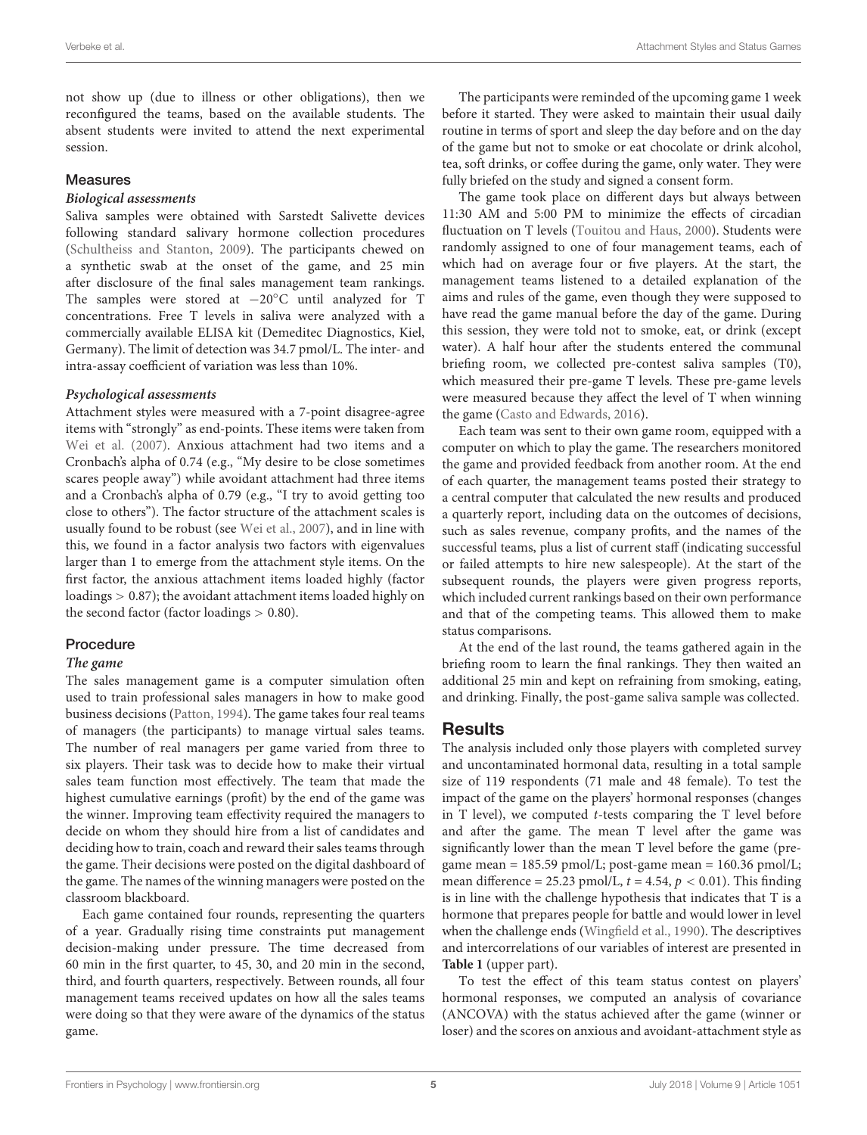not show up (due to illness or other obligations), then we reconfigured the teams, based on the available students. The absent students were invited to attend the next experimental session.

#### Measures

#### **Biological assessments**

Saliva samples were obtained with Sarstedt Salivette devices following standard salivary hormone collection procedures [\(Schultheiss and Stanton,](#page-12-18) [2009\)](#page-12-18). The participants chewed on a synthetic swab at the onset of the game, and 25 min after disclosure of the final sales management team rankings. The samples were stored at −20◦C until analyzed for T concentrations. Free T levels in saliva were analyzed with a commercially available ELISA kit (Demeditec Diagnostics, Kiel, Germany). The limit of detection was 34.7 pmol/L. The inter- and intra-assay coefficient of variation was less than 10%.

#### **Psychological assessments**

Attachment styles were measured with a 7-point disagree-agree items with "strongly" as end-points. These items were taken from [Wei et al.](#page-12-19) [\(2007\)](#page-12-19). Anxious attachment had two items and a Cronbach's alpha of 0.74 (e.g., "My desire to be close sometimes scares people away") while avoidant attachment had three items and a Cronbach's alpha of 0.79 (e.g., "I try to avoid getting too close to others"). The factor structure of the attachment scales is usually found to be robust (see [Wei et al.,](#page-12-19) [2007\)](#page-12-19), and in line with this, we found in a factor analysis two factors with eigenvalues larger than 1 to emerge from the attachment style items. On the first factor, the anxious attachment items loaded highly (factor loadings > 0.87); the avoidant attachment items loaded highly on the second factor (factor loadings  $> 0.80$ ).

#### Procedure

#### **The game**

The sales management game is a computer simulation often used to train professional sales managers in how to make good business decisions [\(Patton,](#page-12-20) [1994\)](#page-12-20). The game takes four real teams of managers (the participants) to manage virtual sales teams. The number of real managers per game varied from three to six players. Their task was to decide how to make their virtual sales team function most effectively. The team that made the highest cumulative earnings (profit) by the end of the game was the winner. Improving team effectivity required the managers to decide on whom they should hire from a list of candidates and deciding how to train, coach and reward their sales teams through the game. Their decisions were posted on the digital dashboard of the game. The names of the winning managers were posted on the classroom blackboard.

Each game contained four rounds, representing the quarters of a year. Gradually rising time constraints put management decision-making under pressure. The time decreased from 60 min in the first quarter, to 45, 30, and 20 min in the second, third, and fourth quarters, respectively. Between rounds, all four management teams received updates on how all the sales teams were doing so that they were aware of the dynamics of the status game.

The participants were reminded of the upcoming game 1 week before it started. They were asked to maintain their usual daily routine in terms of sport and sleep the day before and on the day of the game but not to smoke or eat chocolate or drink alcohol, tea, soft drinks, or coffee during the game, only water. They were fully briefed on the study and signed a consent form.

The game took place on different days but always between 11:30 AM and 5:00 PM to minimize the effects of circadian fluctuation on T levels [\(Touitou and Haus,](#page-12-21) [2000\)](#page-12-21). Students were randomly assigned to one of four management teams, each of which had on average four or five players. At the start, the management teams listened to a detailed explanation of the aims and rules of the game, even though they were supposed to have read the game manual before the day of the game. During this session, they were told not to smoke, eat, or drink (except water). A half hour after the students entered the communal briefing room, we collected pre-contest saliva samples (T0), which measured their pre-game T levels. These pre-game levels were measured because they affect the level of T when winning the game [\(Casto and Edwards,](#page-12-22) [2016\)](#page-12-22).

Each team was sent to their own game room, equipped with a computer on which to play the game. The researchers monitored the game and provided feedback from another room. At the end of each quarter, the management teams posted their strategy to a central computer that calculated the new results and produced a quarterly report, including data on the outcomes of decisions, such as sales revenue, company profits, and the names of the successful teams, plus a list of current staff (indicating successful or failed attempts to hire new salespeople). At the start of the subsequent rounds, the players were given progress reports, which included current rankings based on their own performance and that of the competing teams. This allowed them to make status comparisons.

At the end of the last round, the teams gathered again in the briefing room to learn the final rankings. They then waited an additional 25 min and kept on refraining from smoking, eating, and drinking. Finally, the post-game saliva sample was collected.

### Results

The analysis included only those players with completed survey and uncontaminated hormonal data, resulting in a total sample size of 119 respondents (71 male and 48 female). To test the impact of the game on the players' hormonal responses (changes in  $T$  level), we computed  $t$ -tests comparing the  $T$  level before and after the game. The mean T level after the game was significantly lower than the mean T level before the game (pregame mean = 185.59 pmol/L; post-game mean = 160.36 pmol/L; mean difference = 25.23 pmol/L,  $t = 4.54$ ,  $p < 0.01$ ). This finding is in line with the challenge hypothesis that indicates that T is a hormone that prepares people for battle and would lower in level when the challenge ends [\(Wingfield et al.,](#page-12-10) [1990\)](#page-12-10). The descriptives and intercorrelations of our variables of interest are presented in **[Table 1](#page-5-0)** (upper part).

To test the effect of this team status contest on players' hormonal responses, we computed an analysis of covariance (ANCOVA) with the status achieved after the game (winner or loser) and the scores on anxious and avoidant-attachment style as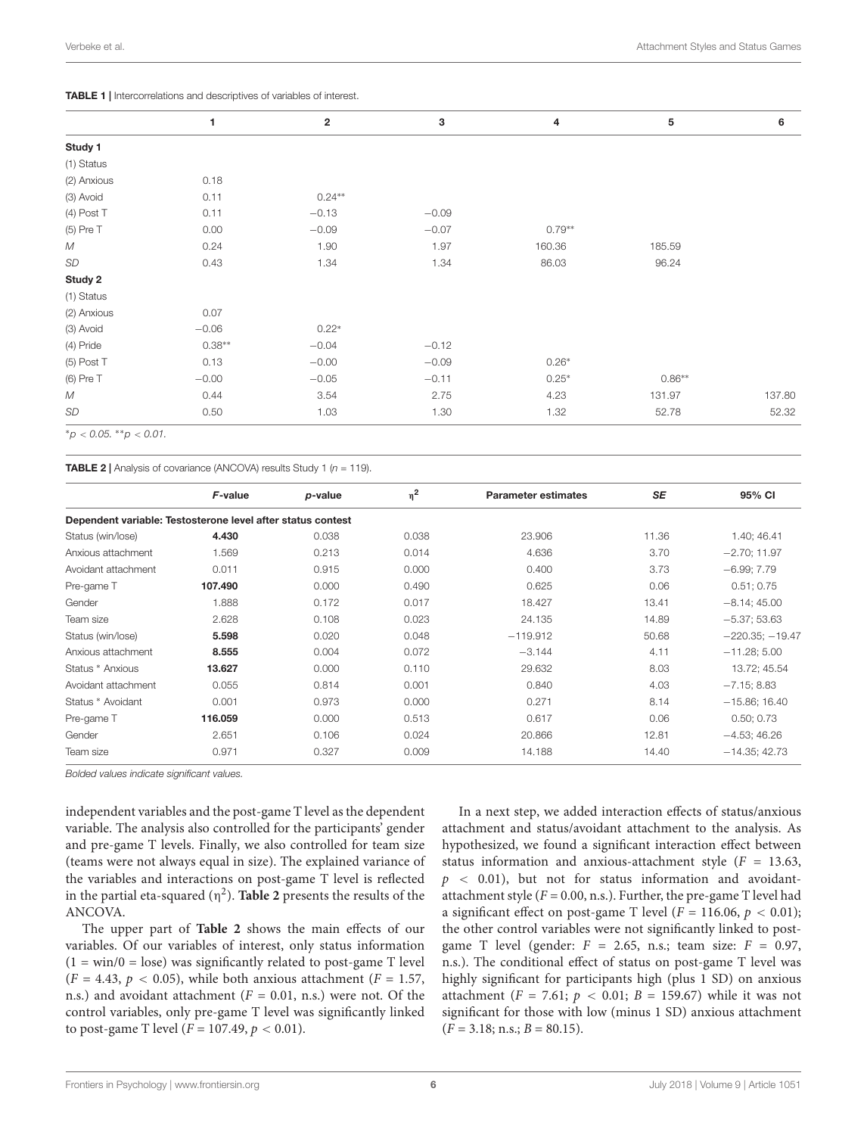#### <span id="page-5-0"></span>TABLE 1 | Intercorrelations and descriptives of variables of interest.

|              | 1        | $\mathbf 2$ | 3       | 4        | 5        | 6      |
|--------------|----------|-------------|---------|----------|----------|--------|
| Study 1      |          |             |         |          |          |        |
| (1) Status   |          |             |         |          |          |        |
| (2) Anxious  | 0.18     |             |         |          |          |        |
| (3) Avoid    | 0.11     | $0.24**$    |         |          |          |        |
| (4) Post T   | 0.11     | $-0.13$     | $-0.09$ |          |          |        |
| (5) Pre T    | 0.00     | $-0.09$     | $-0.07$ | $0.79**$ |          |        |
| ${\cal M}$   | 0.24     | 1.90        | 1.97    | 160.36   | 185.59   |        |
| SD           | 0.43     | 1.34        | 1.34    | 86.03    | 96.24    |        |
| Study 2      |          |             |         |          |          |        |
| (1) Status   |          |             |         |          |          |        |
| (2) Anxious  | 0.07     |             |         |          |          |        |
| (3) Avoid    | $-0.06$  | $0.22*$     |         |          |          |        |
| (4) Pride    | $0.38**$ | $-0.04$     | $-0.12$ |          |          |        |
| $(5)$ Post T | 0.13     | $-0.00$     | $-0.09$ | $0.26*$  |          |        |
| (6) Pre T    | $-0.00$  | $-0.05$     | $-0.11$ | $0.25*$  | $0.86**$ |        |
| ${\cal M}$   | 0.44     | 3.54        | 2.75    | 4.23     | 131.97   | 137.80 |
| SD           | 0.50     | 1.03        | 1.30    | 1.32     | 52.78    | 52.32  |

 $*_{p}$  < 0.05. \*\*p < 0.01.

<span id="page-5-1"></span>**TABLE 2** | Analysis of covariance (ANCOVA) results Study 1 ( $n = 119$ ).

|                                                             | F-value | p-value | $n^2$ | <b>Parameter estimates</b> | <b>SE</b> | 95% CI            |
|-------------------------------------------------------------|---------|---------|-------|----------------------------|-----------|-------------------|
| Dependent variable: Testosterone level after status contest |         |         |       |                            |           |                   |
| Status (win/lose)                                           | 4.430   | 0.038   | 0.038 | 23.906                     | 11.36     | 1.40; 46.41       |
| Anxious attachment                                          | 1.569   | 0.213   | 0.014 | 4.636                      | 3.70      | $-2.70; 11.97$    |
| Avoidant attachment                                         | 0.011   | 0.915   | 0.000 | 0.400                      | 3.73      | $-6.99; 7.79$     |
| Pre-game T                                                  | 107.490 | 0.000   | 0.490 | 0.625                      | 0.06      | 0.51; 0.75        |
| Gender                                                      | 1.888   | 0.172   | 0.017 | 18.427                     | 13.41     | $-8.14:45.00$     |
| Team size                                                   | 2.628   | 0.108   | 0.023 | 24.135                     | 14.89     | $-5.37;53.63$     |
| Status (win/lose)                                           | 5.598   | 0.020   | 0.048 | $-119.912$                 | 50.68     | $-220.35: -19.47$ |
| Anxious attachment                                          | 8.555   | 0.004   | 0.072 | $-3.144$                   | 4.11      | $-11.28; 5.00$    |
| Status * Anxious                                            | 13.627  | 0.000   | 0.110 | 29.632                     | 8.03      | 13.72; 45.54      |
| Avoidant attachment                                         | 0.055   | 0.814   | 0.001 | 0.840                      | 4.03      | $-7.15; 8.83$     |
| Status * Avoidant                                           | 0.001   | 0.973   | 0.000 | 0.271                      | 8.14      | $-15.86; 16.40$   |
| Pre-game T                                                  | 116.059 | 0.000   | 0.513 | 0.617                      | 0.06      | 0.50:0.73         |
| Gender                                                      | 2.651   | 0.106   | 0.024 | 20.866                     | 12.81     | $-4.53; 46.26$    |
| Team size                                                   | 0.971   | 0.327   | 0.009 | 14.188                     | 14.40     | $-14.35:42.73$    |

Bolded values indicate significant values.

independent variables and the post-game T level as the dependent variable. The analysis also controlled for the participants' gender and pre-game T levels. Finally, we also controlled for team size (teams were not always equal in size). The explained variance of the variables and interactions on post-game T level is reflected in the partial eta-squared  $(\eta^2)$ . **[Table 2](#page-5-1)** presents the results of the ANCOVA.

The upper part of **[Table 2](#page-5-1)** shows the main effects of our variables. Of our variables of interest, only status information  $(1 = \text{win}/0 = \text{lose})$  was significantly related to post-game T level  $(F = 4.43, p < 0.05)$ , while both anxious attachment  $(F = 1.57,$ n.s.) and avoidant attachment ( $F = 0.01$ , n.s.) were not. Of the control variables, only pre-game T level was significantly linked to post-game T level ( $F = 107.49, p < 0.01$ ).

In a next step, we added interaction effects of status/anxious attachment and status/avoidant attachment to the analysis. As hypothesized, we found a significant interaction effect between status information and anxious-attachment style  $(F = 13.63,$  $p \sim 0.01$ ), but not for status information and avoidantattachment style ( $F = 0.00$ , n.s.). Further, the pre-game T level had a significant effect on post-game T level ( $F = 116.06$ ,  $p < 0.01$ ); the other control variables were not significantly linked to postgame T level (gender:  $F = 2.65$ , n.s.; team size:  $F = 0.97$ , n.s.). The conditional effect of status on post-game T level was highly significant for participants high (plus 1 SD) on anxious attachment (F = 7.61;  $p < 0.01$ ; B = 159.67) while it was not significant for those with low (minus 1 SD) anxious attachment  $(F = 3.18; n.s.; B = 80.15).$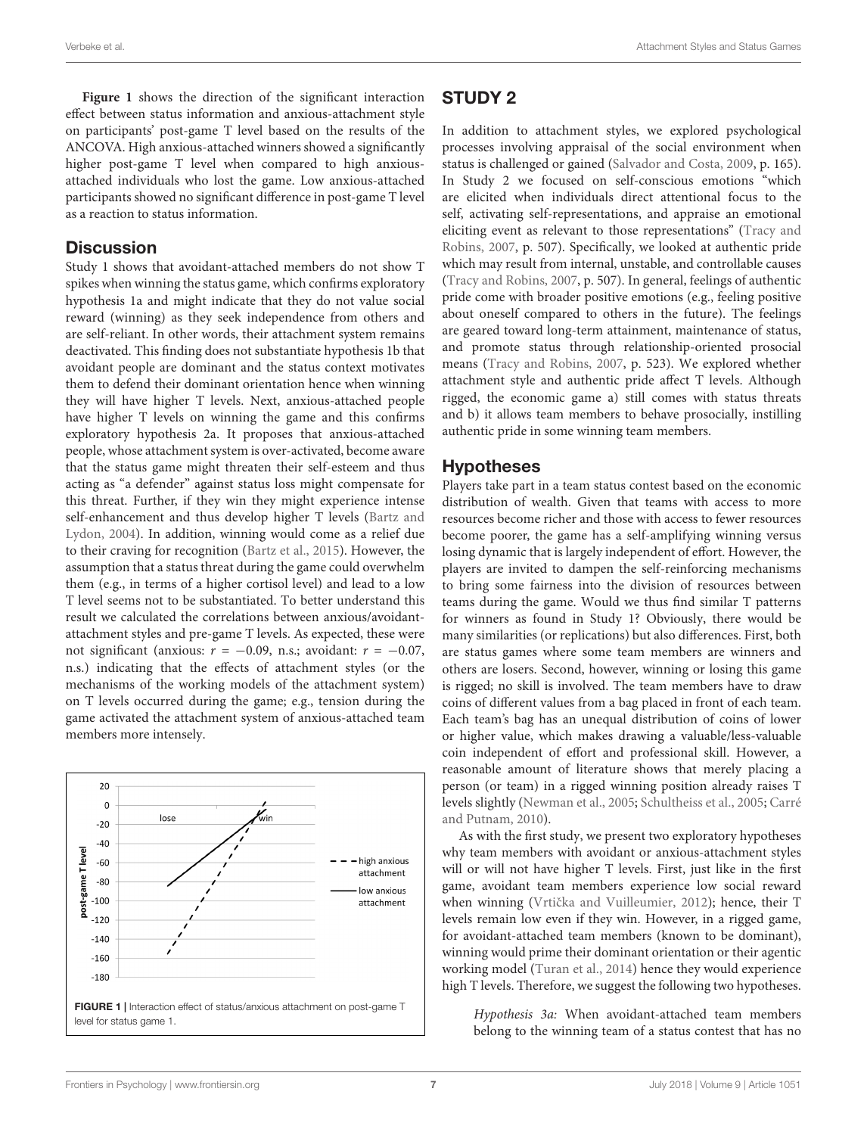[Figure 1](#page-6-0) shows the direction of the significant interaction effect between status information and anxious-attachment style on participants' post-game T level based on the results of the ANCOVA. High anxious-attached winners showed a significantly higher post-game T level when compared to high anxiousattached individuals who lost the game. Low anxious-attached participants showed no significant difference in post-game T level as a reaction to status information.

### **Discussion**

Study 1 shows that avoidant-attached members do not show T spikes when winning the status game, which confirms exploratory hypothesis 1a and might indicate that they do not value social reward (winning) as they seek independence from others and are self-reliant. In other words, their attachment system remains deactivated. This finding does not substantiate hypothesis 1b that avoidant people are dominant and the status context motivates them to defend their dominant orientation hence when winning they will have higher T levels. Next, anxious-attached people have higher T levels on winning the game and this confirms exploratory hypothesis 2a. It proposes that anxious-attached people, whose attachment system is over-activated, become aware that the status game might threaten their self-esteem and thus acting as "a defender" against status loss might compensate for this threat. Further, if they win they might experience intense self-enhancement and thus develop higher T levels [\(Bartz and](#page-11-0) [Lydon,](#page-11-0) [2004\)](#page-11-0). In addition, winning would come as a relief due to their craving for recognition [\(Bartz et al.,](#page-11-5) [2015\)](#page-11-5). However, the assumption that a status threat during the game could overwhelm them (e.g., in terms of a higher cortisol level) and lead to a low T level seems not to be substantiated. To better understand this result we calculated the correlations between anxious/avoidantattachment styles and pre-game T levels. As expected, these were not significant (anxious:  $r = -0.09$ , n.s.; avoidant:  $r = -0.07$ , n.s.) indicating that the effects of attachment styles (or the mechanisms of the working models of the attachment system) on T levels occurred during the game; e.g., tension during the game activated the attachment system of anxious-attached team members more intensely.

<span id="page-6-0"></span>

## STUDY 2

In addition to attachment styles, we explored psychological processes involving appraisal of the social environment when status is challenged or gained [\(Salvador and Costa,](#page-12-5) [2009,](#page-12-5) p. 165). In Study 2 we focused on self-conscious emotions "which are elicited when individuals direct attentional focus to the self, activating self-representations, and appraise an emotional eliciting event as relevant to those representations" [\(Tracy and](#page-12-23) [Robins,](#page-12-23) [2007,](#page-12-23) p. 507). Specifically, we looked at authentic pride which may result from internal, unstable, and controllable causes [\(Tracy and Robins,](#page-12-23) [2007,](#page-12-23) p. 507). In general, feelings of authentic pride come with broader positive emotions (e.g., feeling positive about oneself compared to others in the future). The feelings are geared toward long-term attainment, maintenance of status, and promote status through relationship-oriented prosocial means [\(Tracy and Robins,](#page-12-23) [2007,](#page-12-23) p. 523). We explored whether attachment style and authentic pride affect T levels. Although rigged, the economic game a) still comes with status threats and b) it allows team members to behave prosocially, instilling authentic pride in some winning team members.

### Hypotheses

Players take part in a team status contest based on the economic distribution of wealth. Given that teams with access to more resources become richer and those with access to fewer resources become poorer, the game has a self-amplifying winning versus losing dynamic that is largely independent of effort. However, the players are invited to dampen the self-reinforcing mechanisms to bring some fairness into the division of resources between teams during the game. Would we thus find similar T patterns for winners as found in Study 1? Obviously, there would be many similarities (or replications) but also differences. First, both are status games where some team members are winners and others are losers. Second, however, winning or losing this game is rigged; no skill is involved. The team members have to draw coins of different values from a bag placed in front of each team. Each team's bag has an unequal distribution of coins of lower or higher value, which makes drawing a valuable/less-valuable coin independent of effort and professional skill. However, a reasonable amount of literature shows that merely placing a person (or team) in a rigged winning position already raises T levels slightly [\(Newman et al.,](#page-12-24) [2005;](#page-12-24) [Schultheiss et al.,](#page-12-25) [2005;](#page-12-25) [Carré](#page-12-26) [and Putnam,](#page-12-26) [2010\)](#page-12-26).

As with the first study, we present two exploratory hypotheses why team members with avoidant or anxious-attachment styles will or will not have higher T levels. First, just like in the first game, avoidant team members experience low social reward when winning (Vrtička and Vuilleumier, [2012\)](#page-12-2); hence, their T levels remain low even if they win. However, in a rigged game, for avoidant-attached team members (known to be dominant), winning would prime their dominant orientation or their agentic working model [\(Turan et al.,](#page-12-6) [2014\)](#page-12-6) hence they would experience high T levels. Therefore, we suggest the following two hypotheses.

Hypothesis 3a: When avoidant-attached team members belong to the winning team of a status contest that has no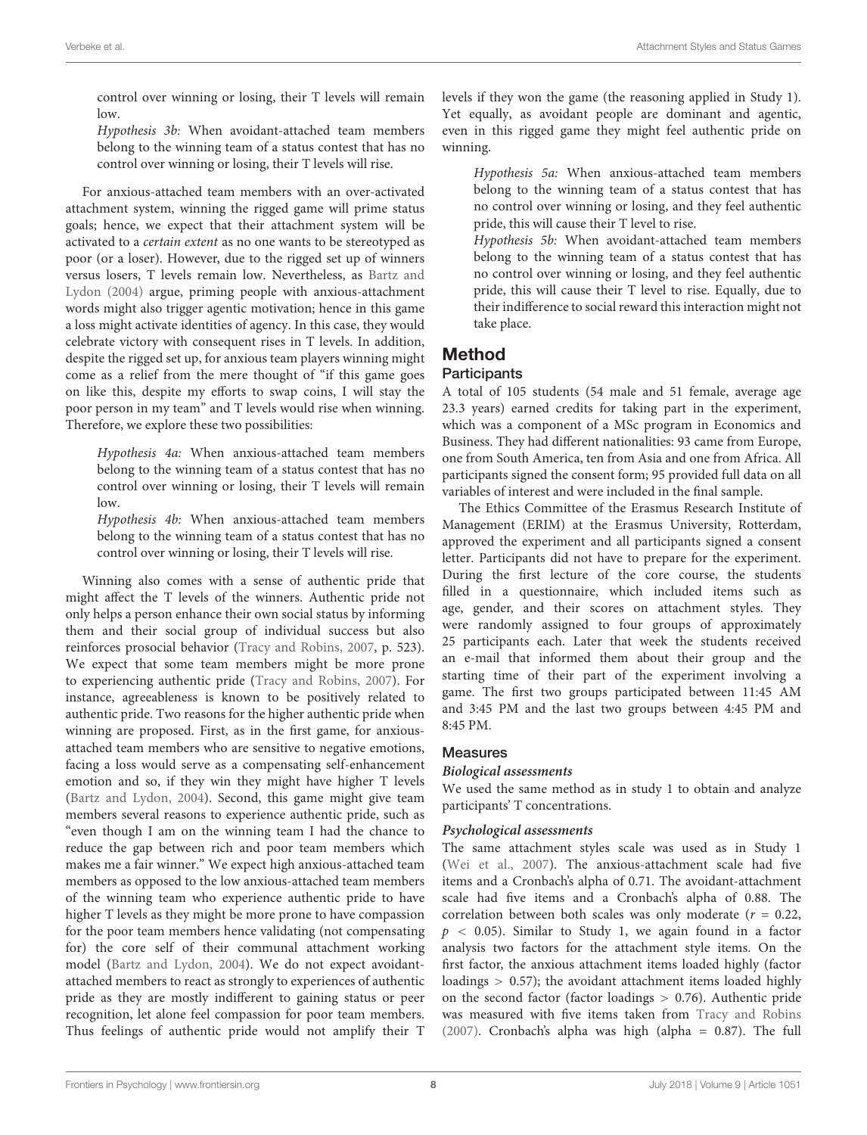control over winning or losing, their T levels will remain  $\log$ 

Hypothesis 3b: When avoidant-attached team members belong to the winning team of a status contest that has no control over winning or losing, their T levels will rise.

For anxious-attached team members with an over-activated attachment system, winning the rigged game will prime status goals; hence, we expect that their attachment system will be activated to a certain extent as no one wants to be stereotyped as poor (or a loser). However, due to the rigged set up of winners versus losers, T levels remain low. Nevertheless, as [Bartz and](#page-11-0) [Lydon](#page-11-0) [\(2004\)](#page-11-0) argue, priming people with anxious-attachment words might also trigger agentic motivation; hence in this game a loss might activate identities of agency. In this case, they would celebrate victory with consequent rises in T levels. In addition, despite the rigged set up, for anxious team players winning might come as a relief from the mere thought of "if this game goes on like this, despite my efforts to swap coins, I will stay the poor person in my team" and T levels would rise when winning. Therefore, we explore these two possibilities:

Hypothesis 4a: When anxious-attached team members belong to the winning team of a status contest that has no control over winning or losing, their T levels will remain low.

Hypothesis 4b: When anxious-attached team members belong to the winning team of a status contest that has no control over winning or losing, their T levels will rise.

Winning also comes with a sense of authentic pride that might affect the T levels of the winners. Authentic pride not only helps a person enhance their own social status by informing them and their social group of individual success but also reinforces prosocial behavior [\(Tracy and Robins,](#page-12-23) [2007,](#page-12-23) p. 523). We expect that some team members might be more prone to experiencing authentic pride [\(Tracy and Robins,](#page-12-23) [2007\)](#page-12-23). For instance, agreeableness is known to be positively related to authentic pride. Two reasons for the higher authentic pride when winning are proposed. First, as in the first game, for anxiousattached team members who are sensitive to negative emotions, facing a loss would serve as a compensating self-enhancement emotion and so, if they win they might have higher T levels [\(Bartz and Lydon,](#page-11-0) [2004\)](#page-11-0). Second, this game might give team members several reasons to experience authentic pride, such as "even though I am on the winning team I had the chance to reduce the gap between rich and poor team members which makes me a fair winner." We expect high anxious-attached team members as opposed to the low anxious-attached team members of the winning team who experience authentic pride to have higher T levels as they might be more prone to have compassion for the poor team members hence validating (not compensating for) the core self of their communal attachment working model [\(Bartz and Lydon,](#page-11-0) [2004\)](#page-11-0). We do not expect avoidantattached members to react as strongly to experiences of authentic pride as they are mostly indifferent to gaining status or peer recognition, let alone feel compassion for poor team members. Thus feelings of authentic pride would not amplify their T

levels if they won the game (the reasoning applied in Study 1). Yet equally, as avoidant people are dominant and agentic, even in this rigged game they might feel authentic pride on winning.

Hypothesis 5a: When anxious-attached team members belong to the winning team of a status contest that has no control over winning or losing, and they feel authentic pride, this will cause their T level to rise.

Hypothesis 5b: When avoidant-attached team members belong to the winning team of a status contest that has no control over winning or losing, and they feel authentic pride, this will cause their T level to rise. Equally, due to their indifference to social reward this interaction might not take place.

# Method

### **Participants**

A total of 105 students (54 male and 51 female, average age 23.3 years) earned credits for taking part in the experiment, which was a component of a MSc program in Economics and Business. They had different nationalities: 93 came from Europe, one from South America, ten from Asia and one from Africa. All participants signed the consent form; 95 provided full data on all variables of interest and were included in the final sample.

The Ethics Committee of the Erasmus Research Institute of Management (ERIM) at the Erasmus University, Rotterdam, approved the experiment and all participants signed a consent letter. Participants did not have to prepare for the experiment. During the first lecture of the core course, the students filled in a questionnaire, which included items such as age, gender, and their scores on attachment styles. They were randomly assigned to four groups of approximately 25 participants each. Later that week the students received an e-mail that informed them about their group and the starting time of their part of the experiment involving a game. The first two groups participated between 11:45 AM and 3:45 PM and the last two groups between 4:45 PM and 8:45 PM.

#### Measures

#### **Biological assessments**

We used the same method as in study 1 to obtain and analyze participants' T concentrations.

#### **Psychological assessments**

The same attachment styles scale was used as in Study 1 [\(Wei et al.,](#page-12-19) [2007\)](#page-12-19). The anxious-attachment scale had five items and a Cronbach's alpha of 0.71. The avoidant-attachment scale had five items and a Cronbach's alpha of 0.88. The correlation between both scales was only moderate  $(r = 0.22,$  $p$  < 0.05). Similar to Study 1, we again found in a factor analysis two factors for the attachment style items. On the first factor, the anxious attachment items loaded highly (factor loadings > 0.57); the avoidant attachment items loaded highly on the second factor (factor loadings  $> 0.76$ ). Authentic pride was measured with five items taken from [Tracy and Robins](#page-12-23) [\(2007\)](#page-12-23). Cronbach's alpha was high (alpha = 0.87). The full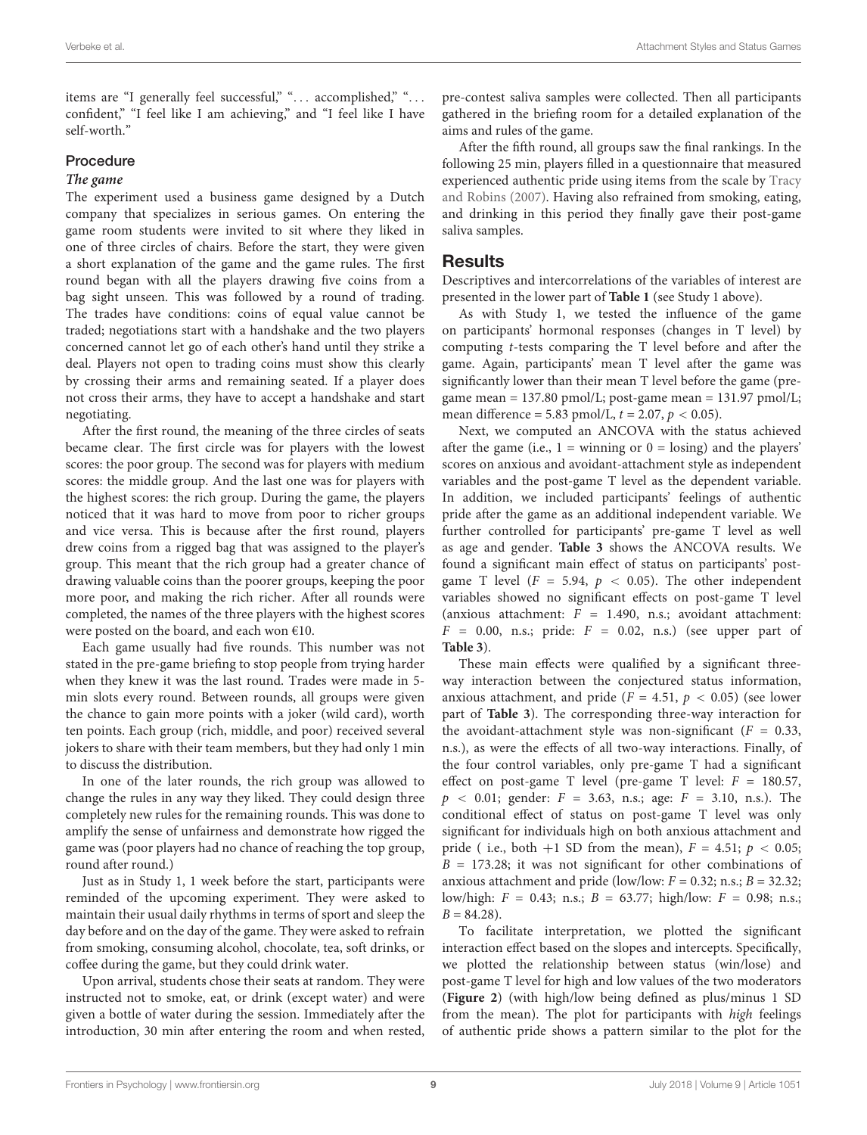items are "I generally feel successful," "... accomplished," "... confident," "I feel like I am achieving," and "I feel like I have self-worth."

#### Procedure

#### **The game**

The experiment used a business game designed by a Dutch company that specializes in serious games. On entering the game room students were invited to sit where they liked in one of three circles of chairs. Before the start, they were given a short explanation of the game and the game rules. The first round began with all the players drawing five coins from a bag sight unseen. This was followed by a round of trading. The trades have conditions: coins of equal value cannot be traded; negotiations start with a handshake and the two players concerned cannot let go of each other's hand until they strike a deal. Players not open to trading coins must show this clearly by crossing their arms and remaining seated. If a player does not cross their arms, they have to accept a handshake and start negotiating.

After the first round, the meaning of the three circles of seats became clear. The first circle was for players with the lowest scores: the poor group. The second was for players with medium scores: the middle group. And the last one was for players with the highest scores: the rich group. During the game, the players noticed that it was hard to move from poor to richer groups and vice versa. This is because after the first round, players drew coins from a rigged bag that was assigned to the player's group. This meant that the rich group had a greater chance of drawing valuable coins than the poorer groups, keeping the poor more poor, and making the rich richer. After all rounds were completed, the names of the three players with the highest scores were posted on the board, and each won €10.

Each game usually had five rounds. This number was not stated in the pre-game briefing to stop people from trying harder when they knew it was the last round. Trades were made in 5 min slots every round. Between rounds, all groups were given the chance to gain more points with a joker (wild card), worth ten points. Each group (rich, middle, and poor) received several jokers to share with their team members, but they had only 1 min to discuss the distribution.

In one of the later rounds, the rich group was allowed to change the rules in any way they liked. They could design three completely new rules for the remaining rounds. This was done to amplify the sense of unfairness and demonstrate how rigged the game was (poor players had no chance of reaching the top group, round after round.)

Just as in Study 1, 1 week before the start, participants were reminded of the upcoming experiment. They were asked to maintain their usual daily rhythms in terms of sport and sleep the day before and on the day of the game. They were asked to refrain from smoking, consuming alcohol, chocolate, tea, soft drinks, or coffee during the game, but they could drink water.

Upon arrival, students chose their seats at random. They were instructed not to smoke, eat, or drink (except water) and were given a bottle of water during the session. Immediately after the introduction, 30 min after entering the room and when rested,

pre-contest saliva samples were collected. Then all participants gathered in the briefing room for a detailed explanation of the aims and rules of the game.

After the fifth round, all groups saw the final rankings. In the following 25 min, players filled in a questionnaire that measured experienced authentic pride using items from the scale by [Tracy](#page-12-23) [and Robins](#page-12-23) [\(2007\)](#page-12-23). Having also refrained from smoking, eating, and drinking in this period they finally gave their post-game saliva samples.

### **Results**

Descriptives and intercorrelations of the variables of interest are presented in the lower part of **[Table 1](#page-5-0)** (see Study 1 above).

As with Study 1, we tested the influence of the game on participants' hormonal responses (changes in T level) by computing t-tests comparing the T level before and after the game. Again, participants' mean T level after the game was significantly lower than their mean T level before the game (pregame mean =  $137.80$  pmol/L; post-game mean =  $131.97$  pmol/L; mean difference = 5.83 pmol/L,  $t = 2.07$ ,  $p < 0.05$ ).

Next, we computed an ANCOVA with the status achieved after the game (i.e.,  $1 =$  winning or  $0 =$  losing) and the players' scores on anxious and avoidant-attachment style as independent variables and the post-game T level as the dependent variable. In addition, we included participants' feelings of authentic pride after the game as an additional independent variable. We further controlled for participants' pre-game T level as well as age and gender. **[Table 3](#page-9-0)** shows the ANCOVA results. We found a significant main effect of status on participants' postgame T level ( $F = 5.94$ ,  $p < 0.05$ ). The other independent variables showed no significant effects on post-game T level (anxious attachment:  $F = 1.490$ , n.s.; avoidant attachment:  $F = 0.00$ , n.s.; pride:  $F = 0.02$ , n.s.) (see upper part of **[Table 3](#page-9-0)**).

These main effects were qualified by a significant threeway interaction between the conjectured status information, anxious attachment, and pride ( $F = 4.51$ ,  $p < 0.05$ ) (see lower part of **[Table 3](#page-9-0)**). The corresponding three-way interaction for the avoidant-attachment style was non-significant ( $F = 0.33$ , n.s.), as were the effects of all two-way interactions. Finally, of the four control variables, only pre-game T had a significant effect on post-game T level (pre-game T level:  $F = 180.57$ ,  $p \sim 0.01$ ; gender:  $F = 3.63$ , n.s.; age:  $F = 3.10$ , n.s.). The conditional effect of status on post-game T level was only significant for individuals high on both anxious attachment and pride ( i.e., both  $+1$  SD from the mean),  $F = 4.51$ ;  $p < 0.05$ ;  $B = 173.28$ ; it was not significant for other combinations of anxious attachment and pride (low/low:  $F = 0.32$ ; n.s.;  $B = 32.32$ ; low/high:  $F = 0.43$ ; n.s.;  $B = 63.77$ ; high/low:  $F = 0.98$ ; n.s.;  $B = 84.28$ .

To facilitate interpretation, we plotted the significant interaction effect based on the slopes and intercepts. Specifically, we plotted the relationship between status (win/lose) and post-game T level for high and low values of the two moderators (**[Figure 2](#page-9-1)**) (with high/low being defined as plus/minus 1 SD from the mean). The plot for participants with high feelings of authentic pride shows a pattern similar to the plot for the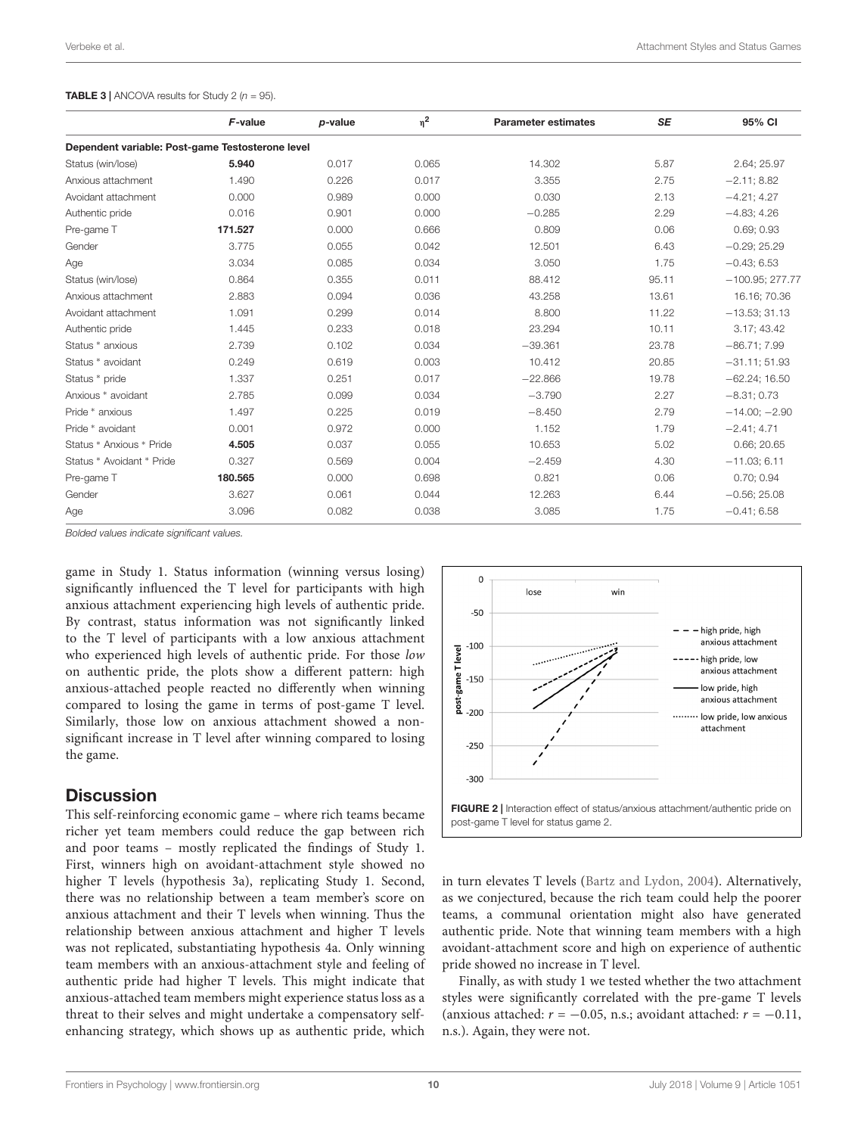#### <span id="page-9-0"></span>**TABLE 3 | ANCOVA results for Study 2**  $(n = 95)$ **.**

|                                                  | F-value | p-value | $n^2$ | <b>Parameter estimates</b> | <b>SE</b> | 95% CI            |
|--------------------------------------------------|---------|---------|-------|----------------------------|-----------|-------------------|
| Dependent variable: Post-game Testosterone level |         |         |       |                            |           |                   |
| Status (win/lose)                                | 5.940   | 0.017   | 0.065 | 14.302                     | 5.87      | 2.64; 25.97       |
| Anxious attachment                               | 1.490   | 0.226   | 0.017 | 3.355                      | 2.75      | $-2.11; 8.82$     |
| Avoidant attachment                              | 0.000   | 0.989   | 0.000 | 0.030                      | 2.13      | $-4.21; 4.27$     |
| Authentic pride                                  | 0.016   | 0.901   | 0.000 | $-0.285$                   | 2.29      | $-4.83:4.26$      |
| Pre-game T                                       | 171.527 | 0.000   | 0.666 | 0.809                      | 0.06      | 0.69; 0.93        |
| Gender                                           | 3.775   | 0.055   | 0.042 | 12.501                     | 6.43      | $-0.29; 25.29$    |
| Age                                              | 3.034   | 0.085   | 0.034 | 3.050                      | 1.75      | $-0.43:6.53$      |
| Status (win/lose)                                | 0.864   | 0.355   | 0.011 | 88.412                     | 95.11     | $-100.95; 277.77$ |
| Anxious attachment                               | 2.883   | 0.094   | 0.036 | 43.258                     | 13.61     | 16.16; 70.36      |
| Avoidant attachment                              | 1.091   | 0.299   | 0.014 | 8.800                      | 11.22     | $-13.53; 31.13$   |
| Authentic pride                                  | 1.445   | 0.233   | 0.018 | 23.294                     | 10.11     | 3.17:43.42        |
| Status * anxious                                 | 2.739   | 0.102   | 0.034 | $-39.361$                  | 23.78     | $-86.71; 7.99$    |
| Status * avoidant                                | 0.249   | 0.619   | 0.003 | 10.412                     | 20.85     | $-31.11; 51.93$   |
| Status * pride                                   | 1.337   | 0.251   | 0.017 | $-22.866$                  | 19.78     | $-62.24; 16.50$   |
| Anxious * avoidant                               | 2.785   | 0.099   | 0.034 | $-3.790$                   | 2.27      | $-8.31; 0.73$     |
| Pride * anxious                                  | 1.497   | 0.225   | 0.019 | $-8.450$                   | 2.79      | $-14.00; -2.90$   |
| Pride * avoidant                                 | 0.001   | 0.972   | 0.000 | 1.152                      | 1.79      | $-2.41; 4.71$     |
| Status * Anxious * Pride                         | 4.505   | 0.037   | 0.055 | 10.653                     | 5.02      | 0.66; 20.65       |
| Status * Avoidant * Pride                        | 0.327   | 0.569   | 0.004 | $-2.459$                   | 4.30      | $-11.03; 6.11$    |
| Pre-game T                                       | 180.565 | 0.000   | 0.698 | 0.821                      | 0.06      | 0.70; 0.94        |
| Gender                                           | 3.627   | 0.061   | 0.044 | 12.263                     | 6.44      | $-0.56; 25.08$    |
| Age                                              | 3.096   | 0.082   | 0.038 | 3.085                      | 1.75      | $-0.41; 6.58$     |

Bolded values indicate significant values.

game in Study 1. Status information (winning versus losing) significantly influenced the T level for participants with high anxious attachment experiencing high levels of authentic pride. By contrast, status information was not significantly linked to the T level of participants with a low anxious attachment who experienced high levels of authentic pride. For those low on authentic pride, the plots show a different pattern: high anxious-attached people reacted no differently when winning compared to losing the game in terms of post-game T level. Similarly, those low on anxious attachment showed a nonsignificant increase in T level after winning compared to losing the game.

### **Discussion**

This self-reinforcing economic game – where rich teams became richer yet team members could reduce the gap between rich and poor teams – mostly replicated the findings of Study 1. First, winners high on avoidant-attachment style showed no higher T levels (hypothesis 3a), replicating Study 1. Second, there was no relationship between a team member's score on anxious attachment and their T levels when winning. Thus the relationship between anxious attachment and higher T levels was not replicated, substantiating hypothesis 4a. Only winning team members with an anxious-attachment style and feeling of authentic pride had higher T levels. This might indicate that anxious-attached team members might experience status loss as a threat to their selves and might undertake a compensatory selfenhancing strategy, which shows up as authentic pride, which



<span id="page-9-1"></span>in turn elevates T levels [\(Bartz and Lydon,](#page-11-0) [2004\)](#page-11-0). Alternatively, as we conjectured, because the rich team could help the poorer teams, a communal orientation might also have generated authentic pride. Note that winning team members with a high avoidant-attachment score and high on experience of authentic pride showed no increase in T level.

Finally, as with study 1 we tested whether the two attachment styles were significantly correlated with the pre-game T levels (anxious attached:  $r = -0.05$ , n.s.; avoidant attached:  $r = -0.11$ , n.s.). Again, they were not.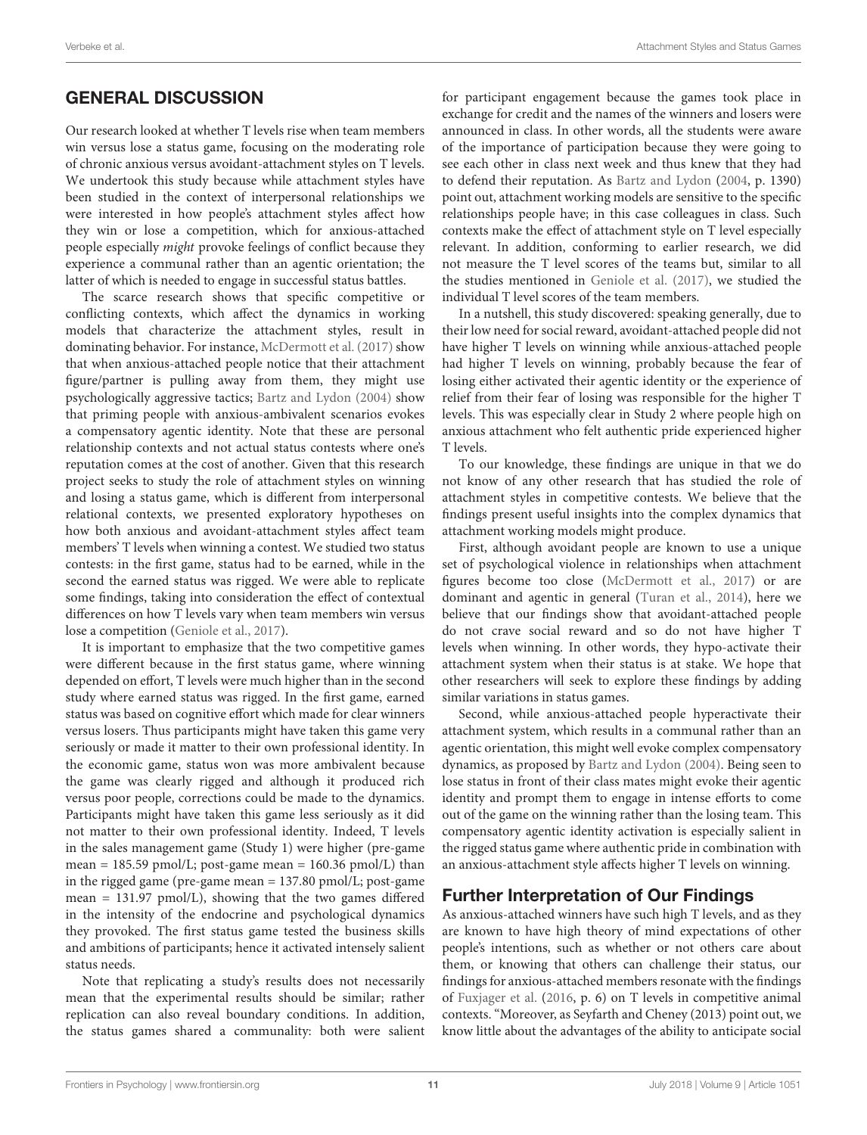### GENERAL DISCUSSION

Our research looked at whether T levels rise when team members win versus lose a status game, focusing on the moderating role of chronic anxious versus avoidant-attachment styles on T levels. We undertook this study because while attachment styles have been studied in the context of interpersonal relationships we were interested in how people's attachment styles affect how they win or lose a competition, which for anxious-attached people especially might provoke feelings of conflict because they experience a communal rather than an agentic orientation; the latter of which is needed to engage in successful status battles.

The scarce research shows that specific competitive or conflicting contexts, which affect the dynamics in working models that characterize the attachment styles, result in dominating behavior. For instance, [McDermott et al.](#page-12-7) [\(2017\)](#page-12-7) show that when anxious-attached people notice that their attachment figure/partner is pulling away from them, they might use psychologically aggressive tactics; [Bartz and Lydon](#page-11-0) [\(2004\)](#page-11-0) show that priming people with anxious-ambivalent scenarios evokes a compensatory agentic identity. Note that these are personal relationship contexts and not actual status contests where one's reputation comes at the cost of another. Given that this research project seeks to study the role of attachment styles on winning and losing a status game, which is different from interpersonal relational contexts, we presented exploratory hypotheses on how both anxious and avoidant-attachment styles affect team members' T levels when winning a contest. We studied two status contests: in the first game, status had to be earned, while in the second the earned status was rigged. We were able to replicate some findings, taking into consideration the effect of contextual differences on how T levels vary when team members win versus lose a competition [\(Geniole et al.,](#page-12-9) [2017\)](#page-12-9).

It is important to emphasize that the two competitive games were different because in the first status game, where winning depended on effort, T levels were much higher than in the second study where earned status was rigged. In the first game, earned status was based on cognitive effort which made for clear winners versus losers. Thus participants might have taken this game very seriously or made it matter to their own professional identity. In the economic game, status won was more ambivalent because the game was clearly rigged and although it produced rich versus poor people, corrections could be made to the dynamics. Participants might have taken this game less seriously as it did not matter to their own professional identity. Indeed, T levels in the sales management game (Study 1) were higher (pre-game mean =  $185.59$  pmol/L; post-game mean =  $160.36$  pmol/L) than in the rigged game (pre-game mean = 137.80 pmol/L; post-game mean = 131.97 pmol/L), showing that the two games differed in the intensity of the endocrine and psychological dynamics they provoked. The first status game tested the business skills and ambitions of participants; hence it activated intensely salient status needs.

Note that replicating a study's results does not necessarily mean that the experimental results should be similar; rather replication can also reveal boundary conditions. In addition, the status games shared a communality: both were salient

for participant engagement because the games took place in exchange for credit and the names of the winners and losers were announced in class. In other words, all the students were aware of the importance of participation because they were going to see each other in class next week and thus knew that they had to defend their reputation. As [Bartz and Lydon](#page-11-0) [\(2004,](#page-11-0) p. 1390) point out, attachment working models are sensitive to the specific relationships people have; in this case colleagues in class. Such contexts make the effect of attachment style on T level especially relevant. In addition, conforming to earlier research, we did not measure the T level scores of the teams but, similar to all the studies mentioned in [Geniole et al.](#page-12-9) [\(2017\)](#page-12-9), we studied the individual T level scores of the team members.

In a nutshell, this study discovered: speaking generally, due to their low need for social reward, avoidant-attached people did not have higher T levels on winning while anxious-attached people had higher T levels on winning, probably because the fear of losing either activated their agentic identity or the experience of relief from their fear of losing was responsible for the higher T levels. This was especially clear in Study 2 where people high on anxious attachment who felt authentic pride experienced higher T levels.

To our knowledge, these findings are unique in that we do not know of any other research that has studied the role of attachment styles in competitive contests. We believe that the findings present useful insights into the complex dynamics that attachment working models might produce.

First, although avoidant people are known to use a unique set of psychological violence in relationships when attachment figures become too close [\(McDermott et al.,](#page-12-7) [2017\)](#page-12-7) or are dominant and agentic in general [\(Turan et al.,](#page-12-6) [2014\)](#page-12-6), here we believe that our findings show that avoidant-attached people do not crave social reward and so do not have higher T levels when winning. In other words, they hypo-activate their attachment system when their status is at stake. We hope that other researchers will seek to explore these findings by adding similar variations in status games.

Second, while anxious-attached people hyperactivate their attachment system, which results in a communal rather than an agentic orientation, this might well evoke complex compensatory dynamics, as proposed by [Bartz and Lydon](#page-11-0) [\(2004\)](#page-11-0). Being seen to lose status in front of their class mates might evoke their agentic identity and prompt them to engage in intense efforts to come out of the game on the winning rather than the losing team. This compensatory agentic identity activation is especially salient in the rigged status game where authentic pride in combination with an anxious-attachment style affects higher T levels on winning.

### Further Interpretation of Our Findings

As anxious-attached winners have such high T levels, and as they are known to have high theory of mind expectations of other people's intentions, such as whether or not others care about them, or knowing that others can challenge their status, our findings for anxious-attached members resonate with the findings of [Fuxjager et al.](#page-12-14) [\(2016,](#page-12-14) p. 6) on T levels in competitive animal contexts. "Moreover, as Seyfarth and Cheney (2013) point out, we know little about the advantages of the ability to anticipate social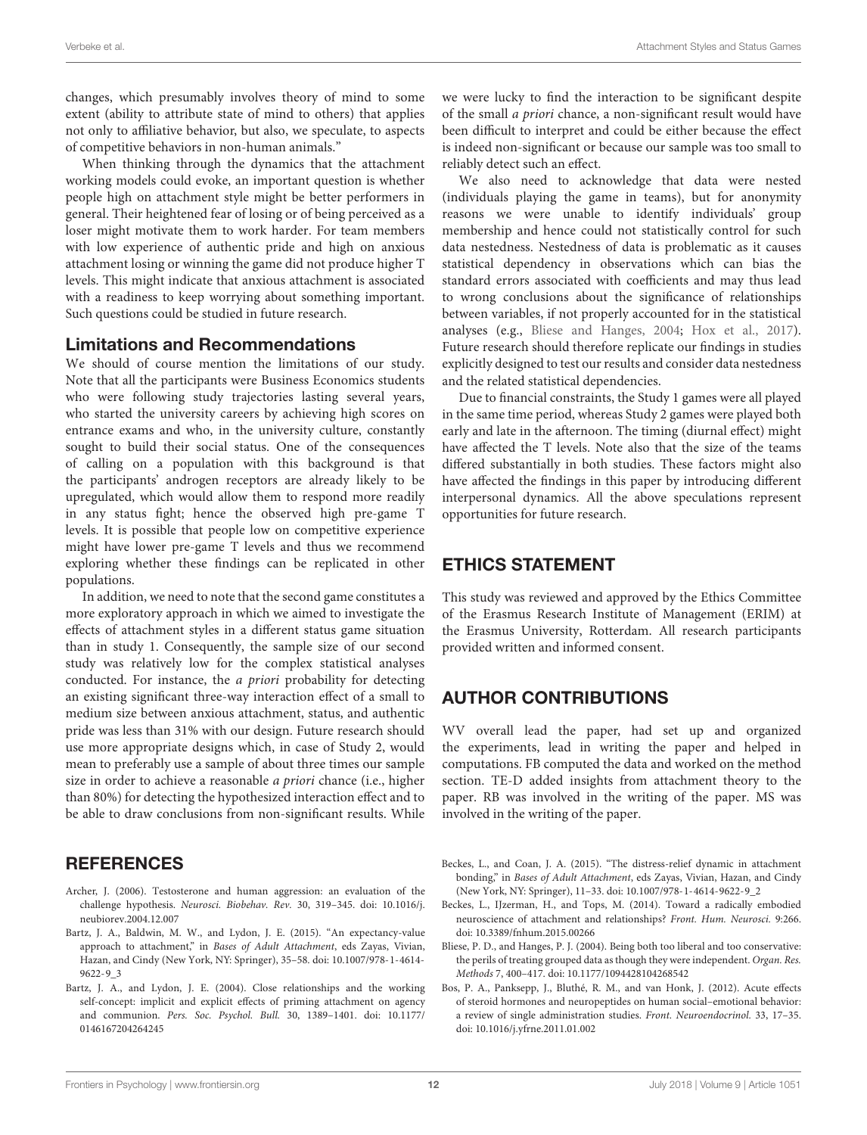changes, which presumably involves theory of mind to some extent (ability to attribute state of mind to others) that applies not only to affiliative behavior, but also, we speculate, to aspects of competitive behaviors in non-human animals."

When thinking through the dynamics that the attachment working models could evoke, an important question is whether people high on attachment style might be better performers in general. Their heightened fear of losing or of being perceived as a loser might motivate them to work harder. For team members with low experience of authentic pride and high on anxious attachment losing or winning the game did not produce higher T levels. This might indicate that anxious attachment is associated with a readiness to keep worrying about something important. Such questions could be studied in future research.

### Limitations and Recommendations

We should of course mention the limitations of our study. Note that all the participants were Business Economics students who were following study trajectories lasting several years, who started the university careers by achieving high scores on entrance exams and who, in the university culture, constantly sought to build their social status. One of the consequences of calling on a population with this background is that the participants' androgen receptors are already likely to be upregulated, which would allow them to respond more readily in any status fight; hence the observed high pre-game T levels. It is possible that people low on competitive experience might have lower pre-game T levels and thus we recommend exploring whether these findings can be replicated in other populations.

In addition, we need to note that the second game constitutes a more exploratory approach in which we aimed to investigate the effects of attachment styles in a different status game situation than in study 1. Consequently, the sample size of our second study was relatively low for the complex statistical analyses conducted. For instance, the a priori probability for detecting an existing significant three-way interaction effect of a small to medium size between anxious attachment, status, and authentic pride was less than 31% with our design. Future research should use more appropriate designs which, in case of Study 2, would mean to preferably use a sample of about three times our sample size in order to achieve a reasonable a priori chance (i.e., higher than 80%) for detecting the hypothesized interaction effect and to be able to draw conclusions from non-significant results. While

### **REFERENCES**

- <span id="page-11-2"></span>Archer, J. (2006). Testosterone and human aggression: an evaluation of the challenge hypothesis. Neurosci. Biobehav. Rev. 30, 319–345. [doi: 10.1016/j.](https://doi.org/10.1016/j.neubiorev.2004.12.007) [neubiorev.2004.12.007](https://doi.org/10.1016/j.neubiorev.2004.12.007)
- <span id="page-11-5"></span>Bartz, J. A., Baldwin, M. W., and Lydon, J. E. (2015). "An expectancy-value approach to attachment," in Bases of Adult Attachment, eds Zayas, Vivian, Hazan, and Cindy (New York, NY: Springer), 35–58. [doi: 10.1007/978-1-4614-](https://doi.org/10.1007/978-1-4614-9622-9_3) [9622-9\\_3](https://doi.org/10.1007/978-1-4614-9622-9_3)
- <span id="page-11-0"></span>Bartz, J. A., and Lydon, J. E. (2004). Close relationships and the working self-concept: implicit and explicit effects of priming attachment on agency and communion. Pers. Soc. Psychol. Bull. 30, 1389–1401. [doi: 10.1177/](https://doi.org/10.1177/0146167204264245) [0146167204264245](https://doi.org/10.1177/0146167204264245)

we were lucky to find the interaction to be significant despite of the small a priori chance, a non-significant result would have been difficult to interpret and could be either because the effect is indeed non-significant or because our sample was too small to reliably detect such an effect.

We also need to acknowledge that data were nested (individuals playing the game in teams), but for anonymity reasons we were unable to identify individuals' group membership and hence could not statistically control for such data nestedness. Nestedness of data is problematic as it causes statistical dependency in observations which can bias the standard errors associated with coefficients and may thus lead to wrong conclusions about the significance of relationships between variables, if not properly accounted for in the statistical analyses (e.g., [Bliese and Hanges,](#page-11-6) [2004;](#page-11-6) [Hox et al.,](#page-12-27) [2017\)](#page-12-27). Future research should therefore replicate our findings in studies explicitly designed to test our results and consider data nestedness and the related statistical dependencies.

Due to financial constraints, the Study 1 games were all played in the same time period, whereas Study 2 games were played both early and late in the afternoon. The timing (diurnal effect) might have affected the T levels. Note also that the size of the teams differed substantially in both studies. These factors might also have affected the findings in this paper by introducing different interpersonal dynamics. All the above speculations represent opportunities for future research.

### ETHICS STATEMENT

This study was reviewed and approved by the Ethics Committee of the Erasmus Research Institute of Management (ERIM) at the Erasmus University, Rotterdam. All research participants provided written and informed consent.

## AUTHOR CONTRIBUTIONS

WV overall lead the paper, had set up and organized the experiments, lead in writing the paper and helped in computations. FB computed the data and worked on the method section. TE-D added insights from attachment theory to the paper. RB was involved in the writing of the paper. MS was involved in the writing of the paper.

- <span id="page-11-4"></span>Beckes, L., and Coan, J. A. (2015). "The distress-relief dynamic in attachment bonding," in Bases of Adult Attachment, eds Zayas, Vivian, Hazan, and Cindy (New York, NY: Springer), 11–33. [doi: 10.1007/978-1-4614-9622-9\\_2](https://doi.org/10.1007/978-1-4614-9622-9_2)
- <span id="page-11-3"></span>Beckes, L., IJzerman, H., and Tops, M. (2014). Toward a radically embodied neuroscience of attachment and relationships? Front. Hum. Neurosci. 9:266. [doi: 10.3389/fnhum.2015.00266](https://doi.org/10.3389/fnhum.2015.00266)
- <span id="page-11-6"></span>Bliese, P. D., and Hanges, P. J. (2004). Being both too liberal and too conservative: the perils of treating grouped data as though they were independent. Organ. Res. Methods 7, 400–417. [doi: 10.1177/1094428104268542](https://doi.org/10.1177/1094428104268542)
- <span id="page-11-1"></span>Bos, P. A., Panksepp, J., Bluthé, R. M., and van Honk, J. (2012). Acute effects of steroid hormones and neuropeptides on human social–emotional behavior: a review of single administration studies. Front. Neuroendocrinol. 33, 17–35. [doi: 10.1016/j.yfrne.2011.01.002](https://doi.org/10.1016/j.yfrne.2011.01.002)